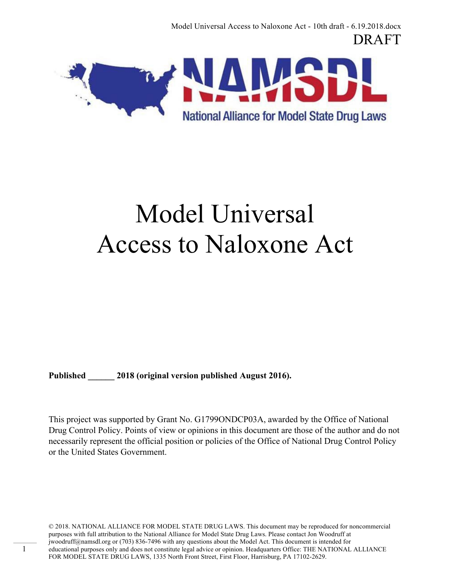Model Universal Access to Naloxone Act - 10th draft - 6.19.2018.docx DRAFT



# Model Universal Access to Naloxone Act

Published 2018 (original version published August 2016).

1

This project was supported by Grant No. G1799ONDCP03A, awarded by the Office of National Drug Control Policy. Points of view or opinions in this document are those of the author and do not necessarily represent the official position or policies of the Office of National Drug Control Policy or the United States Government.

© 2018. NATIONAL ALLIANCE FOR MODEL STATE DRUG LAWS. This document may be reproduced for noncommercial purposes with full attribution to the National Alliance for Model State Drug Laws. Please contact Jon Woodruff at jwoodruff@namsdl.org or (703) 836-7496 with any questions about the Model Act. This document is intended for educational purposes only and does not constitute legal advice or opinion. Headquarters Office: THE NATIONAL ALLIANCE FOR MODEL STATE DRUG LAWS, 1335 North Front Street, First Floor, Harrisburg, PA 17102-2629.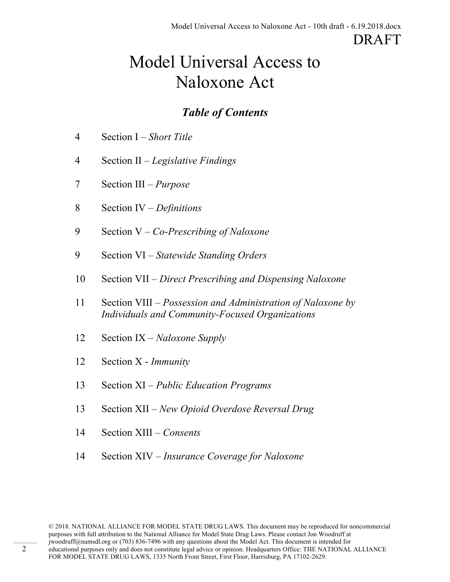# Model Universal Access to Naloxone Act

## *Table of Contents*

- 4 Section I *Short Title*
- 4 Section II *Legislative Findings*
- 7 Section III *Purpose*
- 8 Section IV *Definitions*
- 9 Section V *Co-Prescribing of Naloxone*
- 9 Section VI *Statewide Standing Orders*
- 10 Section VII *Direct Prescribing and Dispensing Naloxone*
- 11 Section VIII *Possession and Administration of Naloxone by Individuals and Community-Focused Organizations*
- 12 Section IX *Naloxone Supply*
- 12 Section X *Immunity*
- 13 Section XI *Public Education Programs*
- 13 Section XII *New Opioid Overdose Reversal Drug*
- 14 Section XIII *Consents*
- 14 Section XIV *Insurance Coverage for Naloxone*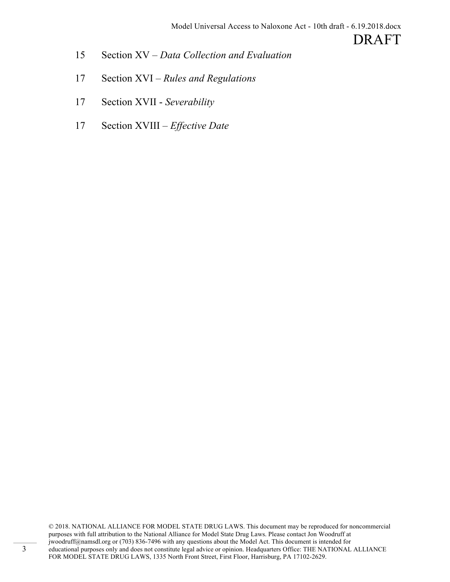- 15 Section XV *Data Collection and Evaluation*
- 17 Section XVI *Rules and Regulations*
- 17 Section XVII *Severability*
- 17 Section XVIII *Effective Date*

© 2018. NATIONAL ALLIANCE FOR MODEL STATE DRUG LAWS. This document may be reproduced for noncommercial purposes with full attribution to the National Alliance for Model State Drug Laws. Please contact Jon Woodruff at jwoodruff@namsdl.org or (703) 836-7496 with any questions about the Model Act. This document is intended for educational purposes only and does not constitute legal advice or opinion. Headquarters Office: THE NATIONAL ALLIANCE FOR MODEL STATE DRUG LAWS, 1335 North Front Street, First Floor, Harrisburg, PA 17102-2629.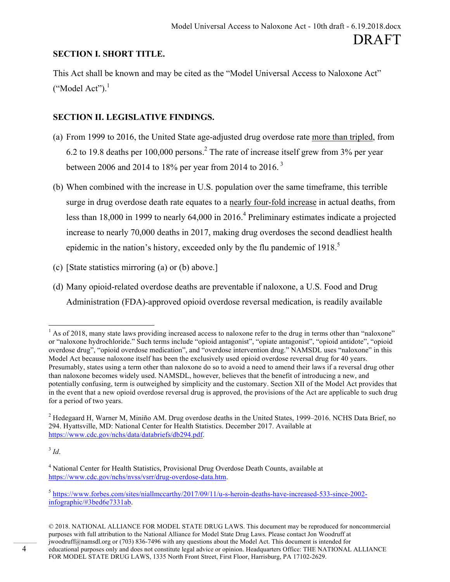#### **SECTION I. SHORT TITLE.**

This Act shall be known and may be cited as the "Model Universal Access to Naloxone Act"  $("Model Act").$ <sup>1</sup>

#### **SECTION II. LEGISLATIVE FINDINGS.**

- (a) From 1999 to 2016, the United State age-adjusted drug overdose rate more than tripled, from 6.2 to 19.8 deaths per  $100,000$  persons.<sup>2</sup> The rate of increase itself grew from  $3\%$  per year between 2006 and 2014 to 18% per year from 2014 to 2016.<sup>3</sup>
- (b) When combined with the increase in U.S. population over the same timeframe, this terrible surge in drug overdose death rate equates to a nearly four-fold increase in actual deaths, from less than 18,000 in 1999 to nearly  $64,000$  in  $2016<sup>4</sup>$  Preliminary estimates indicate a projected increase to nearly 70,000 deaths in 2017, making drug overdoses the second deadliest health epidemic in the nation's history, exceeded only by the flu pandemic of  $1918$ <sup>5</sup>
- (c) [State statistics mirroring (a) or (b) above.]
- (d) Many opioid-related overdose deaths are preventable if naloxone, a U.S. Food and Drug Administration (FDA)-approved opioid overdose reversal medication, is readily available

 $3$  *Id.* 

 $<sup>1</sup>$  As of 2018, many state laws providing increased access to naloxone refer to the drug in terms other than "naloxone"</sup> or "naloxone hydrochloride." Such terms include "opioid antagonist", "opiate antagonist", "opioid antidote", "opioid overdose drug", "opioid overdose medication", and "overdose intervention drug." NAMSDL uses "naloxone" in this Model Act because naloxone itself has been the exclusively used opioid overdose reversal drug for 40 years. Presumably, states using a term other than naloxone do so to avoid a need to amend their laws if a reversal drug other than naloxone becomes widely used. NAMSDL, however, believes that the benefit of introducing a new, and potentially confusing, term is outweighed by simplicity and the customary. Section XII of the Model Act provides that in the event that a new opioid overdose reversal drug is approved, the provisions of the Act are applicable to such drug for a period of two years.

<sup>2</sup> Hedegaard H, Warner M, Miniño AM. Drug overdose deaths in the United States, 1999–2016. NCHS Data Brief, no 294. Hyattsville, MD: National Center for Health Statistics. December 2017. Available at https://www.cdc.gov/nchs/data/databriefs/db294.pdf.

<sup>4</sup> National Center for Health Statistics, Provisional Drug Overdose Death Counts, available at https://www.cdc.gov/nchs/nvss/vsrr/drug-overdose-data.htm.

<sup>5</sup> https://www.forbes.com/sites/niallmccarthy/2017/09/11/u-s-heroin-deaths-have-increased-533-since-2002 infographic/#3bed6e7331ab.

<sup>© 2018.</sup> NATIONAL ALLIANCE FOR MODEL STATE DRUG LAWS. This document may be reproduced for noncommercial purposes with full attribution to the National Alliance for Model State Drug Laws. Please contact Jon Woodruff at jwoodruff@namsdl.org or (703) 836-7496 with any questions about the Model Act. This document is intended for educational purposes only and does not constitute legal advice or opinion. Headquarters Office: THE NATIONAL ALLIANCE FOR MODEL STATE DRUG LAWS, 1335 North Front Street, First Floor, Harrisburg, PA 17102-2629.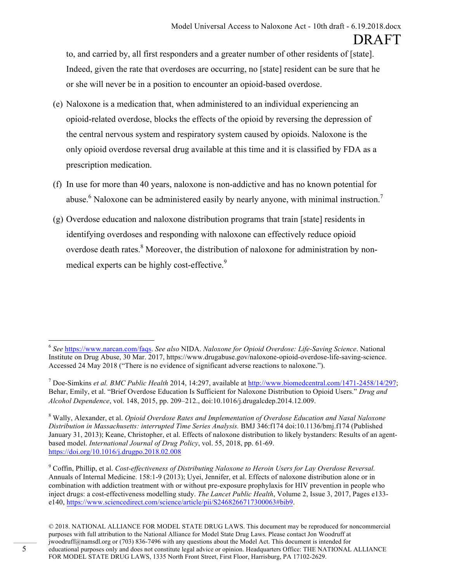to, and carried by, all first responders and a greater number of other residents of [state]. Indeed, given the rate that overdoses are occurring, no [state] resident can be sure that he or she will never be in a position to encounter an opioid-based overdose.

- (e) Naloxone is a medication that, when administered to an individual experiencing an opioid-related overdose, blocks the effects of the opioid by reversing the depression of the central nervous system and respiratory system caused by opioids. Naloxone is the only opioid overdose reversal drug available at this time and it is classified by FDA as a prescription medication.
- (f) In use for more than 40 years, naloxone is non-addictive and has no known potential for abuse.<sup>6</sup> Naloxone can be administered easily by nearly anyone, with minimal instruction.<sup>7</sup>
- (g) Overdose education and naloxone distribution programs that train [state] residents in identifying overdoses and responding with naloxone can effectively reduce opioid overdose death rates.<sup>8</sup> Moreover, the distribution of naloxone for administration by nonmedical experts can be highly cost-effective.<sup>9</sup>

 <sup>6</sup> *See* https://www.narcan.com/faqs. *See also* NIDA. *Naloxone for Opioid Overdose: Life-Saving Science*. National Institute on Drug Abuse, 30 Mar. 2017, https://www.drugabuse.gov/naloxone-opioid-overdose-life-saving-science. Accessed 24 May 2018 ("There is no evidence of significant adverse reactions to naloxone.").

<sup>7</sup> Doe-Simkins *et al. BMC Public Health* 2014, 14:297, available at http://www.biomedcentral.com/1471-2458/14/297; Behar, Emily, et al. "Brief Overdose Education Is Sufficient for Naloxone Distribution to Opioid Users." *Drug and Alcohol Dependence*, vol. 148, 2015, pp. 209–212., doi:10.1016/j.drugalcdep.2014.12.009.

<sup>8</sup> Wally, Alexander, et al. *Opioid Overdose Rates and Implementation of Overdose Education and Nasal Naloxone Distribution in Massachusetts: interrupted Time Series Analysis.* BMJ 346:f174 doi:10.1136/bmj.f174 (Published January 31, 2013); Keane, Christopher, et al. Effects of naloxone distribution to likely bystanders: Results of an agentbased model. *International Journal of Drug Policy*, vol. 55, 2018, pp. 61-69. https://doi.org/10.1016/j.drugpo.2018.02.008

<sup>9</sup> Coffin, Phillip, et al. *Cost-effectiveness of Distributing Naloxone to Heroin Users for Lay Overdose Reversal.*  Annuals of Internal Medicine. 158:1-9 (2013); Uyei, Jennifer, et al. Effects of naloxone distribution alone or in combination with addiction treatment with or without pre-exposure prophylaxis for HIV prevention in people who inject drugs: a cost-effectiveness modelling study. *The Lancet Public Health*, Volume 2, Issue 3, 2017, Pages e133 e140, https://www.sciencedirect.com/science/article/pii/S2468266717300063#bib9.

<sup>© 2018.</sup> NATIONAL ALLIANCE FOR MODEL STATE DRUG LAWS. This document may be reproduced for noncommercial purposes with full attribution to the National Alliance for Model State Drug Laws. Please contact Jon Woodruff at jwoodruff@namsdl.org or (703) 836-7496 with any questions about the Model Act. This document is intended for educational purposes only and does not constitute legal advice or opinion. Headquarters Office: THE NATIONAL ALLIANCE FOR MODEL STATE DRUG LAWS, 1335 North Front Street, First Floor, Harrisburg, PA 17102-2629.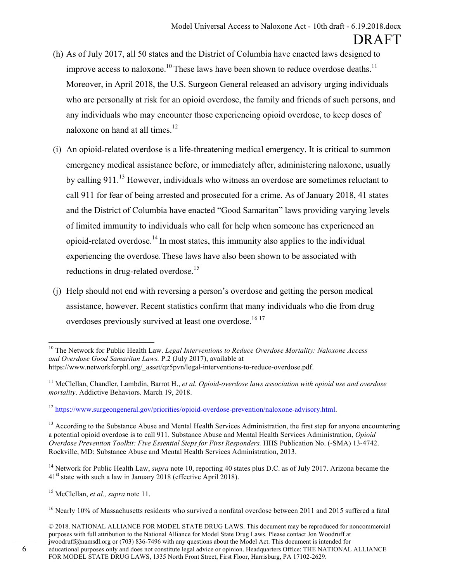- (h) As of July 2017, all 50 states and the District of Columbia have enacted laws designed to improve access to naloxone.<sup>10</sup> These laws have been shown to reduce overdose deaths.<sup>11</sup> Moreover, in April 2018, the U.S. Surgeon General released an advisory urging individuals who are personally at risk for an opioid overdose, the family and friends of such persons, and any individuals who may encounter those experiencing opioid overdose, to keep doses of naloxone on hand at all times.<sup>12</sup>
- (i) An opioid-related overdose is a life-threatening medical emergency. It is critical to summon emergency medical assistance before, or immediately after, administering naloxone, usually by calling 911.<sup>13</sup> However, individuals who witness an overdose are sometimes reluctant to call 911 for fear of being arrested and prosecuted for a crime. As of January 2018, 41 states and the District of Columbia have enacted "Good Samaritan" laws providing varying levels of limited immunity to individuals who call for help when someone has experienced an opioid-related overdose.<sup>14</sup> In most states, this immunity also applies to the individual experiencing the overdose. These laws have also been shown to be associated with reductions in drug-related overdose.<sup>15</sup>
- (j) Help should not end with reversing a person's overdose and getting the person medical assistance, however. Recent statistics confirm that many individuals who die from drug overdoses previously survived at least one overdose.<sup>1617</sup>

<sup>14</sup> Network for Public Health Law, *supra* note 10, reporting 40 states plus D.C. as of July 2017. Arizona became the 41<sup>st</sup> state with such a law in January 2018 (effective April 2018).

 <sup>10</sup> The Network for Public Health Law. *Legal Interventions to Reduce Overdose Mortality: Naloxone Access and Overdose Good Samaritan Laws.* P.2 (July 2017), available at https://www.networkforphl.org/\_asset/qz5pvn/legal-interventions-to-reduce-overdose.pdf.

<sup>11</sup> McClellan, Chandler, Lambdin, Barrot H., *et al. Opioid-overdose laws association with opioid use and overdose mortality*. Addictive Behaviors. March 19, 2018.

<sup>12</sup> https://www.surgeongeneral.gov/priorities/opioid-overdose-prevention/naloxone-advisory.html.

 $<sup>13</sup>$  According to the Substance Abuse and Mental Health Services Administration, the first step for anyone encountering</sup> a potential opioid overdose is to call 911. Substance Abuse and Mental Health Services Administration, *Opioid Overdose Prevention Toolkit: Five Essential Steps for First Responders.* HHS Publication No. (-SMA) 13-4742. Rockville, MD: Substance Abuse and Mental Health Services Administration, 2013.

<sup>15</sup> McClellan, *et al., supra* note 11.

<sup>&</sup>lt;sup>16</sup> Nearly 10% of Massachusetts residents who survived a nonfatal overdose between 2011 and 2015 suffered a fatal

<sup>© 2018.</sup> NATIONAL ALLIANCE FOR MODEL STATE DRUG LAWS. This document may be reproduced for noncommercial purposes with full attribution to the National Alliance for Model State Drug Laws. Please contact Jon Woodruff at jwoodruff@namsdl.org or (703) 836-7496 with any questions about the Model Act. This document is intended for educational purposes only and does not constitute legal advice or opinion. Headquarters Office: THE NATIONAL ALLIANCE FOR MODEL STATE DRUG LAWS, 1335 North Front Street, First Floor, Harrisburg, PA 17102-2629.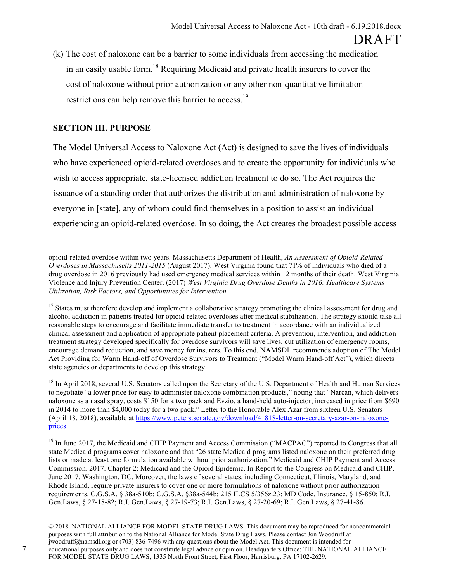(k) The cost of naloxone can be a barrier to some individuals from accessing the medication in an easily usable form.<sup>18</sup> Requiring Medicaid and private health insurers to cover the cost of naloxone without prior authorization or any other non-quantitative limitation restrictions can help remove this barrier to access.<sup>19</sup>

#### **SECTION III. PURPOSE**

The Model Universal Access to Naloxone Act (Act) is designed to save the lives of individuals who have experienced opioid-related overdoses and to create the opportunity for individuals who wish to access appropriate, state-licensed addiction treatment to do so. The Act requires the issuance of a standing order that authorizes the distribution and administration of naloxone by everyone in [state], any of whom could find themselves in a position to assist an individual experiencing an opioid-related overdose. In so doing, the Act creates the broadest possible access

l opioid-related overdose within two years. Massachusetts Department of Health, *An Assessment of Opioid-Related Overdoses in Massachusetts 2011-2015* (August 2017). West Virginia found that 71% of individuals who died of a drug overdose in 2016 previously had used emergency medical services within 12 months of their death. West Virginia Violence and Injury Prevention Center. (2017) *West Virginia Drug Overdose Deaths in 2016: Healthcare Systems Utilization, Risk Factors, and Opportunities for Intervention.*

<sup>17</sup> States must therefore develop and implement a collaborative strategy promoting the clinical assessment for drug and alcohol addiction in patients treated for opioid-related overdoses after medical stabilization. The strategy should take all reasonable steps to encourage and facilitate immediate transfer to treatment in accordance with an individualized clinical assessment and application of appropriate patient placement criteria. A prevention, intervention, and addiction treatment strategy developed specifically for overdose survivors will save lives, cut utilization of emergency rooms, encourage demand reduction, and save money for insurers. To this end, NAMSDL recommends adoption of The Model Act Providing for Warm Hand-off of Overdose Survivors to Treatment ("Model Warm Hand-off Act"), which directs state agencies or departments to develop this strategy.

<sup>18</sup> In April 2018, several U.S. Senators called upon the Secretary of the U.S. Department of Health and Human Services to negotiate "a lower price for easy to administer naloxone combination products," noting that "Narcan, which delivers naloxone as a nasal spray, costs \$150 for a two pack and Evzio, a hand-held auto-injector, increased in price from \$690 in 2014 to more than \$4,000 today for a two pack." Letter to the Honorable Alex Azar from sixteen U.S. Senators (April 18, 2018), available at https://www.peters.senate.gov/download/41818-letter-on-secretary-azar-on-naloxoneprices.

<sup>19</sup> In June 2017, the Medicaid and CHIP Payment and Access Commission ("MACPAC") reported to Congress that all state Medicaid programs cover naloxone and that "26 state Medicaid programs listed naloxone on their preferred drug lists or made at least one formulation available without prior authorization." Medicaid and CHIP Payment and Access Commission. 2017. Chapter 2: Medicaid and the Opioid Epidemic. In Report to the Congress on Medicaid and CHIP. June 2017. Washington, DC. Moreover, the laws of several states, including Connecticut, Illinois, Maryland, and Rhode Island, require private insurers to cover one or more formulations of naloxone without prior authorization requirements. C.G.S.A. § 38a-510b; C.G.S.A. §38a-544b; 215 ILCS 5/356z.23; MD Code, Insurance, § 15-850; R.I. Gen.Laws, § 27-18-82; R.I. Gen.Laws, § 27-19-73; R.I. Gen.Laws, § 27-20-69; R.I. Gen.Laws, § 27-41-86.

© 2018. NATIONAL ALLIANCE FOR MODEL STATE DRUG LAWS. This document may be reproduced for noncommercial purposes with full attribution to the National Alliance for Model State Drug Laws. Please contact Jon Woodruff at jwoodruff@namsdl.org or (703) 836-7496 with any questions about the Model Act. This document is intended for educational purposes only and does not constitute legal advice or opinion. Headquarters Office: THE NATIONAL ALLIANCE FOR MODEL STATE DRUG LAWS, 1335 North Front Street, First Floor, Harrisburg, PA 17102-2629.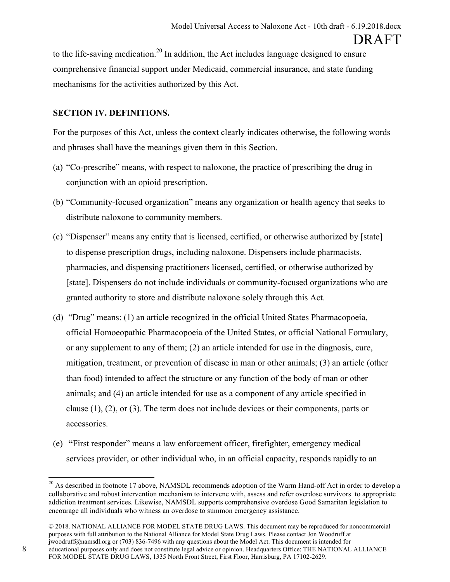to the life-saving medication.<sup>20</sup> In addition, the Act includes language designed to ensure comprehensive financial support under Medicaid, commercial insurance, and state funding mechanisms for the activities authorized by this Act.

#### **SECTION IV. DEFINITIONS.**

For the purposes of this Act, unless the context clearly indicates otherwise, the following words and phrases shall have the meanings given them in this Section.

- (a) "Co-prescribe" means, with respect to naloxone, the practice of prescribing the drug in conjunction with an opioid prescription.
- (b) "Community-focused organization" means any organization or health agency that seeks to distribute naloxone to community members.
- (c) "Dispenser" means any entity that is licensed, certified, or otherwise authorized by [state] to dispense prescription drugs, including naloxone. Dispensers include pharmacists, pharmacies, and dispensing practitioners licensed, certified, or otherwise authorized by [state]. Dispensers do not include individuals or community-focused organizations who are granted authority to store and distribute naloxone solely through this Act.
- (d) "Drug" means: (1) an article recognized in the official United States Pharmacopoeia, official Homoeopathic Pharmacopoeia of the United States, or official National Formulary, or any supplement to any of them; (2) an article intended for use in the diagnosis, cure, mitigation, treatment, or prevention of disease in man or other animals; (3) an article (other than food) intended to affect the structure or any function of the body of man or other animals; and (4) an article intended for use as a component of any article specified in clause (1), (2), or (3). The term does not include devices or their components, parts or accessories.
- (e) **"**First responder" means a law enforcement officer, firefighter, emergency medical services provider, or other individual who, in an official capacity, responds rapidly to an

<sup>&</sup>lt;sup>20</sup> As described in footnote 17 above, NAMSDL recommends adoption of the Warm Hand-off Act in order to develop a collaborative and robust intervention mechanism to intervene with, assess and refer overdose survivors to appropriate addiction treatment services. Likewise, NAMSDL supports comprehensive overdose Good Samaritan legislation to encourage all individuals who witness an overdose to summon emergency assistance.

<sup>© 2018.</sup> NATIONAL ALLIANCE FOR MODEL STATE DRUG LAWS. This document may be reproduced for noncommercial purposes with full attribution to the National Alliance for Model State Drug Laws. Please contact Jon Woodruff at jwoodruff@namsdl.org or (703) 836-7496 with any questions about the Model Act. This document is intended for educational purposes only and does not constitute legal advice or opinion. Headquarters Office: THE NATIONAL ALLIANCE FOR MODEL STATE DRUG LAWS, 1335 North Front Street, First Floor, Harrisburg, PA 17102-2629.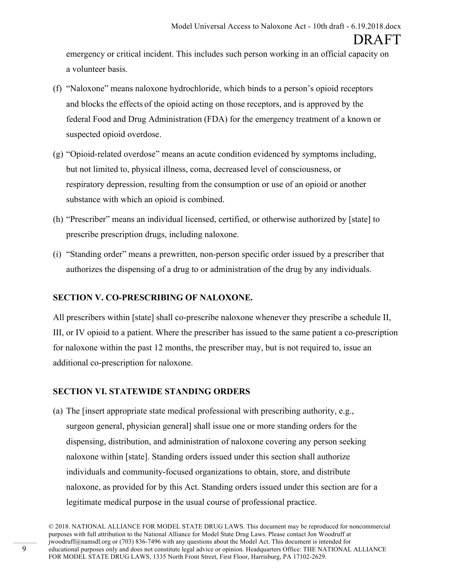emergency or critical incident. This includes such person working in an official capacity on a volunteer basis.

- (f) "Naloxone" means naloxone hydrochloride, which binds to a person's opioid receptors and blocks the effects of the opioid acting on those receptors, and is approved by the federal Food and Drug Administration (FDA) for the emergency treatment of a known or suspected opioid overdose.
- (g) "Opioid-related overdose" means an acute condition evidenced by symptoms including, but not limited to, physical illness, coma, decreased level of consciousness, or respiratory depression, resulting from the consumption or use of an opioid or another substance with which an opioid is combined.
- (h) "Prescriber" means an individual licensed, certified, or otherwise authorized by [state] to prescribe prescription drugs, including naloxone.
- (i) "Standing order" means a prewritten, non-person specific order issued by a prescriber that authorizes the dispensing of a drug to or administration of the drug by any individuals.

#### **SECTION V. CO-PRESCRIBING OF NALOXONE.**

All prescribers within [state] shall co-prescribe naloxone whenever they prescribe a schedule II, III, or IV opioid to a patient. Where the prescriber has issued to the same patient a co-prescription for naloxone within the past 12 months, the prescriber may, but is not required to, issue an additional co-prescription for naloxone.

#### **SECTION VI. STATEWIDE STANDING ORDERS**

(a) The [insert appropriate state medical professional with prescribing authority, e.g., surgeon general, physician general] shall issue one or more standing orders for the dispensing, distribution, and administration of naloxone covering any person seeking naloxone within [state]. Standing orders issued under this section shall authorize individuals and community-focused organizations to obtain, store, and distribute naloxone, as provided for by this Act. Standing orders issued under this section are for a legitimate medical purpose in the usual course of professional practice.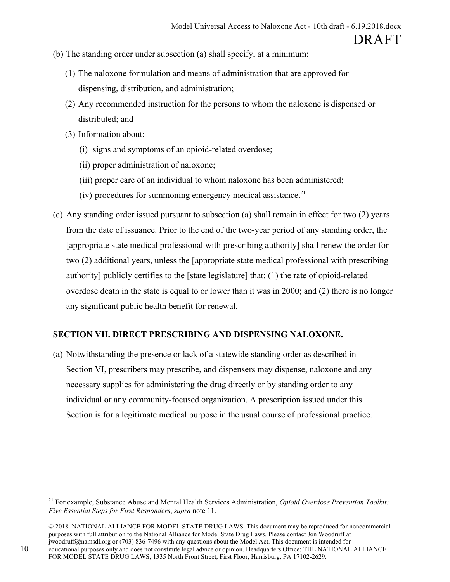- (b) The standing order under subsection (a) shall specify, at a minimum:
	- (1) The naloxone formulation and means of administration that are approved for dispensing, distribution, and administration;
	- (2) Any recommended instruction for the persons to whom the naloxone is dispensed or distributed; and
	- (3) Information about:
		- (i) signs and symptoms of an opioid-related overdose;
		- (ii) proper administration of naloxone;
		- (iii) proper care of an individual to whom naloxone has been administered;
		- (iv) procedures for summoning emergency medical assistance.<sup>21</sup>
- (c) Any standing order issued pursuant to subsection (a) shall remain in effect for two (2) years from the date of issuance. Prior to the end of the two-year period of any standing order, the [appropriate state medical professional with prescribing authority] shall renew the order for two (2) additional years, unless the [appropriate state medical professional with prescribing authority] publicly certifies to the [state legislature] that: (1) the rate of opioid-related overdose death in the state is equal to or lower than it was in 2000; and (2) there is no longer any significant public health benefit for renewal.

#### **SECTION VII. DIRECT PRESCRIBING AND DISPENSING NALOXONE.**

(a) Notwithstanding the presence or lack of a statewide standing order as described in Section VI, prescribers may prescribe, and dispensers may dispense, naloxone and any necessary supplies for administering the drug directly or by standing order to any individual or any community-focused organization. A prescription issued under this Section is for a legitimate medical purpose in the usual course of professional practice.

 <sup>21</sup> For example, Substance Abuse and Mental Health Services Administration, *Opioid Overdose Prevention Toolkit: Five Essential Steps for First Responders*, *supra* note 11.

<sup>© 2018.</sup> NATIONAL ALLIANCE FOR MODEL STATE DRUG LAWS. This document may be reproduced for noncommercial purposes with full attribution to the National Alliance for Model State Drug Laws. Please contact Jon Woodruff at jwoodruff@namsdl.org or (703) 836-7496 with any questions about the Model Act. This document is intended for educational purposes only and does not constitute legal advice or opinion. Headquarters Office: THE NATIONAL ALLIANCE FOR MODEL STATE DRUG LAWS, 1335 North Front Street, First Floor, Harrisburg, PA 17102-2629.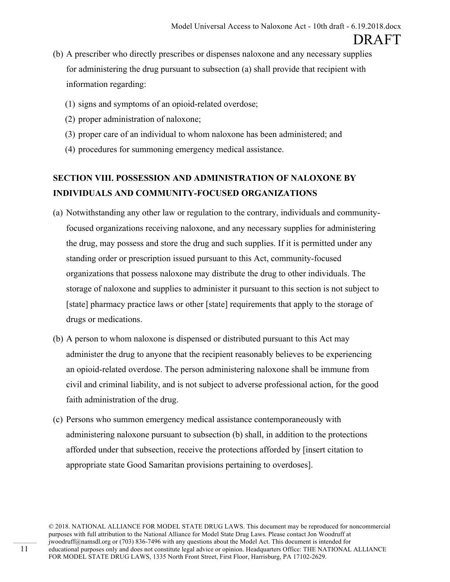- (b) A prescriber who directly prescribes or dispenses naloxone and any necessary supplies for administering the drug pursuant to subsection (a) shall provide that recipient with information regarding:
	- (1) signs and symptoms of an opioid-related overdose;
	- (2) proper administration of naloxone;
	- (3) proper care of an individual to whom naloxone has been administered; and
	- (4) procedures for summoning emergency medical assistance.

### **SECTION VIII. POSSESSION AND ADMINISTRATION OF NALOXONE BY INDIVIDUALS AND COMMUNITY-FOCUSED ORGANIZATIONS**

- (a) Notwithstanding any other law or regulation to the contrary, individuals and communityfocused organizations receiving naloxone, and any necessary supplies for administering the drug, may possess and store the drug and such supplies. If it is permitted under any standing order or prescription issued pursuant to this Act, community-focused organizations that possess naloxone may distribute the drug to other individuals. The storage of naloxone and supplies to administer it pursuant to this section is not subject to [state] pharmacy practice laws or other [state] requirements that apply to the storage of drugs or medications.
- (b) A person to whom naloxone is dispensed or distributed pursuant to this Act may administer the drug to anyone that the recipient reasonably believes to be experiencing an opioid-related overdose. The person administering naloxone shall be immune from civil and criminal liability, and is not subject to adverse professional action, for the good faith administration of the drug.
- (c) Persons who summon emergency medical assistance contemporaneously with administering naloxone pursuant to subsection (b) shall, in addition to the protections afforded under that subsection, receive the protections afforded by [insert citation to appropriate state Good Samaritan provisions pertaining to overdoses].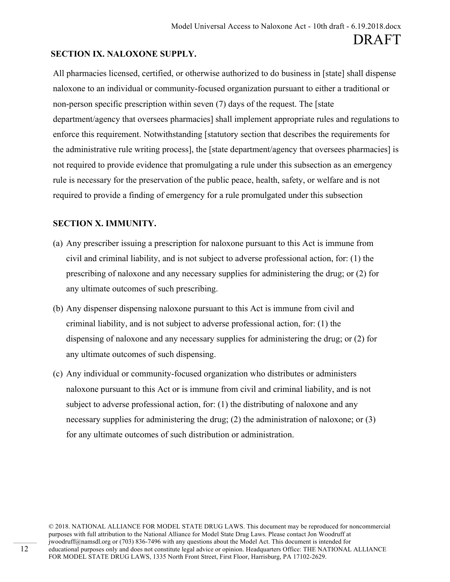#### **SECTION IX. NALOXONE SUPPLY.**

All pharmacies licensed, certified, or otherwise authorized to do business in [state] shall dispense naloxone to an individual or community-focused organization pursuant to either a traditional or non-person specific prescription within seven (7) days of the request. The [state department/agency that oversees pharmacies] shall implement appropriate rules and regulations to enforce this requirement. Notwithstanding [statutory section that describes the requirements for the administrative rule writing process], the [state department/agency that oversees pharmacies] is not required to provide evidence that promulgating a rule under this subsection as an emergency rule is necessary for the preservation of the public peace, health, safety, or welfare and is not required to provide a finding of emergency for a rule promulgated under this subsection

#### **SECTION X. IMMUNITY.**

- (a) Any prescriber issuing a prescription for naloxone pursuant to this Act is immune from civil and criminal liability, and is not subject to adverse professional action, for: (1) the prescribing of naloxone and any necessary supplies for administering the drug; or (2) for any ultimate outcomes of such prescribing.
- (b) Any dispenser dispensing naloxone pursuant to this Act is immune from civil and criminal liability, and is not subject to adverse professional action, for: (1) the dispensing of naloxone and any necessary supplies for administering the drug; or (2) for any ultimate outcomes of such dispensing.
- (c) Any individual or community-focused organization who distributes or administers naloxone pursuant to this Act or is immune from civil and criminal liability, and is not subject to adverse professional action, for: (1) the distributing of naloxone and any necessary supplies for administering the drug; (2) the administration of naloxone; or (3) for any ultimate outcomes of such distribution or administration.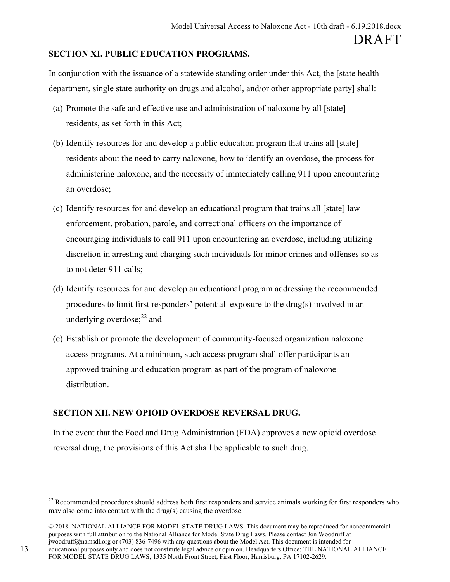#### **SECTION XI. PUBLIC EDUCATION PROGRAMS.**

In conjunction with the issuance of a statewide standing order under this Act, the [state health department, single state authority on drugs and alcohol, and/or other appropriate party] shall:

- (a) Promote the safe and effective use and administration of naloxone by all [state] residents, as set forth in this Act;
- (b) Identify resources for and develop a public education program that trains all [state] residents about the need to carry naloxone, how to identify an overdose, the process for administering naloxone, and the necessity of immediately calling 911 upon encountering an overdose;
- (c) Identify resources for and develop an educational program that trains all [state] law enforcement, probation, parole, and correctional officers on the importance of encouraging individuals to call 911 upon encountering an overdose, including utilizing discretion in arresting and charging such individuals for minor crimes and offenses so as to not deter 911 calls;
- (d) Identify resources for and develop an educational program addressing the recommended procedures to limit first responders' potential exposure to the drug(s) involved in an underlying overdose; $^{22}$  and
- (e) Establish or promote the development of community-focused organization naloxone access programs. At a minimum, such access program shall offer participants an approved training and education program as part of the program of naloxone distribution.

#### **SECTION XII. NEW OPIOID OVERDOSE REVERSAL DRUG.**

In the event that the Food and Drug Administration (FDA) approves a new opioid overdose reversal drug, the provisions of this Act shall be applicable to such drug.

<sup>&</sup>lt;sup>22</sup> Recommended procedures should address both first responders and service animals working for first responders who may also come into contact with the drug(s) causing the overdose.

<sup>© 2018.</sup> NATIONAL ALLIANCE FOR MODEL STATE DRUG LAWS. This document may be reproduced for noncommercial purposes with full attribution to the National Alliance for Model State Drug Laws. Please contact Jon Woodruff at jwoodruff@namsdl.org or (703) 836-7496 with any questions about the Model Act. This document is intended for educational purposes only and does not constitute legal advice or opinion. Headquarters Office: THE NATIONAL ALLIANCE FOR MODEL STATE DRUG LAWS, 1335 North Front Street, First Floor, Harrisburg, PA 17102-2629.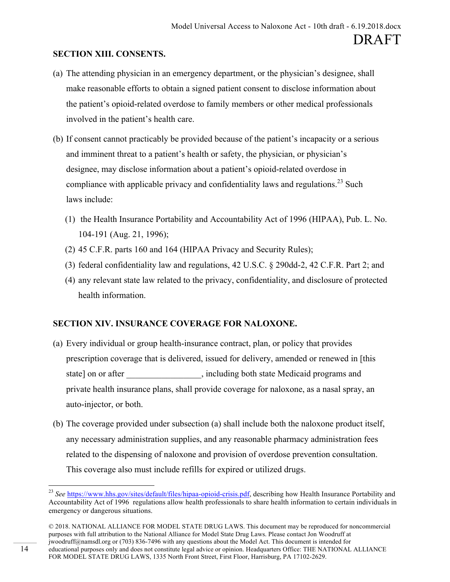#### **SECTION XIII. CONSENTS.**

- (a) The attending physician in an emergency department, or the physician's designee, shall make reasonable efforts to obtain a signed patient consent to disclose information about the patient's opioid-related overdose to family members or other medical professionals involved in the patient's health care.
- (b) If consent cannot practicably be provided because of the patient's incapacity or a serious and imminent threat to a patient's health or safety, the physician, or physician's designee, may disclose information about a patient's opioid-related overdose in compliance with applicable privacy and confidentiality laws and regulations.<sup>23</sup> Such laws include:
	- (1) the Health Insurance Portability and Accountability Act of 1996 (HIPAA), Pub. L. No. 104-191 (Aug. 21, 1996);
	- (2) 45 C.F.R. parts 160 and 164 (HIPAA Privacy and Security Rules);
	- (3) federal confidentiality law and regulations, 42 U.S.C. § 290dd-2, 42 C.F.R. Part 2; and
	- (4) any relevant state law related to the privacy, confidentiality, and disclosure of protected health information.

#### **SECTION XIV. INSURANCE COVERAGE FOR NALOXONE.**

- (a) Every individual or group health-insurance contract, plan, or policy that provides prescription coverage that is delivered, issued for delivery, amended or renewed in [this state] on or after \_\_\_\_\_\_\_\_\_\_\_\_\_\_, including both state Medicaid programs and private health insurance plans, shall provide coverage for naloxone, as a nasal spray, an auto-injector, or both.
- (b) The coverage provided under subsection (a) shall include both the naloxone product itself, any necessary administration supplies, and any reasonable pharmacy administration fees related to the dispensing of naloxone and provision of overdose prevention consultation. This coverage also must include refills for expired or utilized drugs.

 <sup>23</sup> *See* https://www.hhs.gov/sites/default/files/hipaa-opioid-crisis.pdf, describing how Health Insurance Portability and Accountability Act of 1996 regulations allow health professionals to share health information to certain individuals in emergency or dangerous situations.

<sup>© 2018.</sup> NATIONAL ALLIANCE FOR MODEL STATE DRUG LAWS. This document may be reproduced for noncommercial purposes with full attribution to the National Alliance for Model State Drug Laws. Please contact Jon Woodruff at jwoodruff@namsdl.org or (703) 836-7496 with any questions about the Model Act. This document is intended for educational purposes only and does not constitute legal advice or opinion. Headquarters Office: THE NATIONAL ALLIANCE FOR MODEL STATE DRUG LAWS, 1335 North Front Street, First Floor, Harrisburg, PA 17102-2629.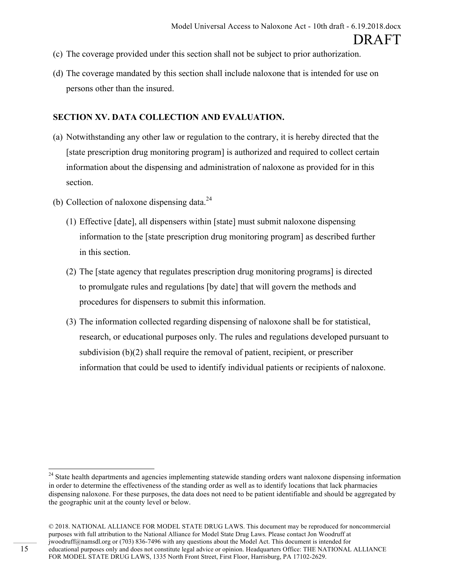- (c) The coverage provided under this section shall not be subject to prior authorization.
- (d) The coverage mandated by this section shall include naloxone that is intended for use on persons other than the insured.

#### **SECTION XV. DATA COLLECTION AND EVALUATION.**

- (a) Notwithstanding any other law or regulation to the contrary, it is hereby directed that the [state prescription drug monitoring program] is authorized and required to collect certain information about the dispensing and administration of naloxone as provided for in this section.
- (b) Collection of naloxone dispensing data. $^{24}$ 
	- (1) Effective [date], all dispensers within [state] must submit naloxone dispensing information to the [state prescription drug monitoring program] as described further in this section.
	- (2) The [state agency that regulates prescription drug monitoring programs] is directed to promulgate rules and regulations [by date] that will govern the methods and procedures for dispensers to submit this information.
	- (3) The information collected regarding dispensing of naloxone shall be for statistical, research, or educational purposes only. The rules and regulations developed pursuant to subdivision (b)(2) shall require the removal of patient, recipient, or prescriber information that could be used to identify individual patients or recipients of naloxone.

<sup>&</sup>lt;sup>24</sup> State health departments and agencies implementing statewide standing orders want naloxone dispensing information in order to determine the effectiveness of the standing order as well as to identify locations that lack pharmacies dispensing naloxone. For these purposes, the data does not need to be patient identifiable and should be aggregated by the geographic unit at the county level or below.

<sup>© 2018.</sup> NATIONAL ALLIANCE FOR MODEL STATE DRUG LAWS. This document may be reproduced for noncommercial purposes with full attribution to the National Alliance for Model State Drug Laws. Please contact Jon Woodruff at jwoodruff@namsdl.org or (703) 836-7496 with any questions about the Model Act. This document is intended for educational purposes only and does not constitute legal advice or opinion. Headquarters Office: THE NATIONAL ALLIANCE FOR MODEL STATE DRUG LAWS, 1335 North Front Street, First Floor, Harrisburg, PA 17102-2629.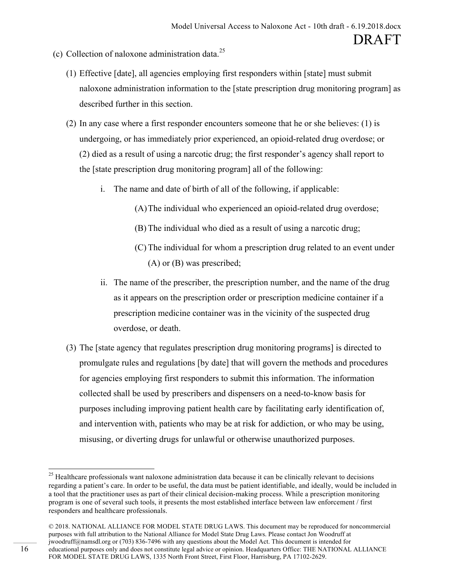- (c) Collection of naloxone administration data. 25
	- (1) Effective [date], all agencies employing first responders within [state] must submit naloxone administration information to the [state prescription drug monitoring program] as described further in this section.
	- (2) In any case where a first responder encounters someone that he or she believes: (1) is undergoing, or has immediately prior experienced, an opioid-related drug overdose; or (2) died as a result of using a narcotic drug; the first responder's agency shall report to the [state prescription drug monitoring program] all of the following:
		- i. The name and date of birth of all of the following, if applicable:
			- (A)The individual who experienced an opioid-related drug overdose;
			- (B) The individual who died as a result of using a narcotic drug;
			- (C) The individual for whom a prescription drug related to an event under (A) or (B) was prescribed;
		- ii. The name of the prescriber, the prescription number, and the name of the drug as it appears on the prescription order or prescription medicine container if a prescription medicine container was in the vicinity of the suspected drug overdose, or death.
	- (3) The [state agency that regulates prescription drug monitoring programs] is directed to promulgate rules and regulations [by date] that will govern the methods and procedures for agencies employing first responders to submit this information. The information collected shall be used by prescribers and dispensers on a need-to-know basis for purposes including improving patient health care by facilitating early identification of, and intervention with, patients who may be at risk for addiction, or who may be using, misusing, or diverting drugs for unlawful or otherwise unauthorized purposes.

<sup>&</sup>lt;sup>25</sup> Healthcare professionals want naloxone administration data because it can be clinically relevant to decisions regarding a patient's care. In order to be useful, the data must be patient identifiable, and ideally, would be included in a tool that the practitioner uses as part of their clinical decision-making process. While a prescription monitoring program is one of several such tools, it presents the most established interface between law enforcement / first responders and healthcare professionals.

<sup>© 2018.</sup> NATIONAL ALLIANCE FOR MODEL STATE DRUG LAWS. This document may be reproduced for noncommercial purposes with full attribution to the National Alliance for Model State Drug Laws. Please contact Jon Woodruff at jwoodruff@namsdl.org or (703) 836-7496 with any questions about the Model Act. This document is intended for educational purposes only and does not constitute legal advice or opinion. Headquarters Office: THE NATIONAL ALLIANCE FOR MODEL STATE DRUG LAWS, 1335 North Front Street, First Floor, Harrisburg, PA 17102-2629.